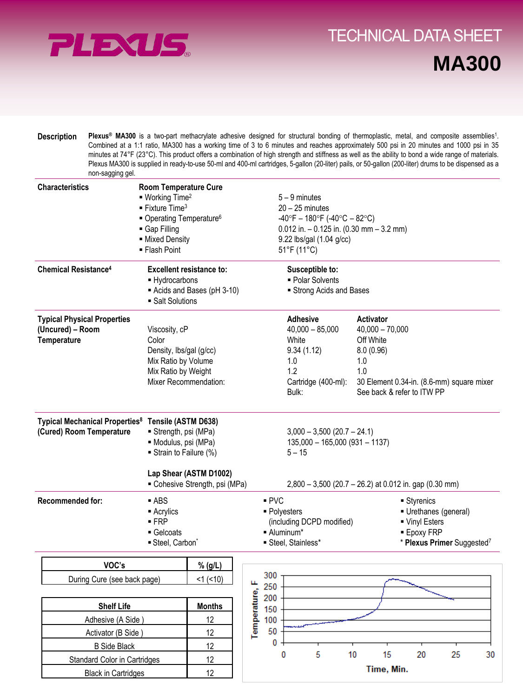

Black in Cartridges 12

## **Direct Links Convenience With Tray System** TECHNICAL DATA SHEET**Flexibility MA300**

| <b>Description</b> | <b>Plexus<sup>®</sup> MA300</b> is a two-part methacrylate adhesive designed for structural bonding of thermoplastic, metal, and composite assemblies <sup>1</sup> . |
|--------------------|----------------------------------------------------------------------------------------------------------------------------------------------------------------------|
|                    | Combined at a 1:1 ratio, MA300 has a working time of 3 to 6 minutes and reaches approximately 500 psi in 20 minutes and 1000 psi in 35                               |
|                    | minutes at 74°F (23°C). This product offers a combination of high strength and stiffness as well as the ability to bond a wide range of materials.                   |
|                    | Plexus MA300 is supplied in ready-to-use 50-ml and 400-ml cartridges, 5-gallon (20-liter) pails, or 50-gallon (200-liter) drums to be dispensed as a                 |
|                    | non-sagging gel.                                                                                                                                                     |

| <b>Characteristics</b>                                                                     | Room Temperature Cure<br>$\blacksquare$ Working Time <sup>2</sup><br>$\blacksquare$ Fixture Time <sup>3</sup><br>■ Operating Temperature <sup>6</sup><br>Gap Filling<br>- Mixed Density<br>■ Flash Point |                                 |  | $5 - 9$ minutes<br>$20 - 25$ minutes<br>$-40^{\circ}F - 180^{\circ}F (-40^{\circ}C - 82^{\circ}C)$<br>$0.012$ in. $-0.125$ in. (0.30 mm $-3.2$ mm)<br>9.22 lbs/gal (1.04 g/cc)<br>51°F (11°C) |                                                                                                                                           |                                                                                                           |   |    |                                                                                                                                                           |                                                                                                                    |    |    |
|--------------------------------------------------------------------------------------------|----------------------------------------------------------------------------------------------------------------------------------------------------------------------------------------------------------|---------------------------------|--|-----------------------------------------------------------------------------------------------------------------------------------------------------------------------------------------------|-------------------------------------------------------------------------------------------------------------------------------------------|-----------------------------------------------------------------------------------------------------------|---|----|-----------------------------------------------------------------------------------------------------------------------------------------------------------|--------------------------------------------------------------------------------------------------------------------|----|----|
| <b>Chemical Resistance<sup>4</sup></b>                                                     | <b>Excellent resistance to:</b><br>- Hydrocarbons<br>Acids and Bases (pH 3-10)<br>• Salt Solutions                                                                                                       |                                 |  |                                                                                                                                                                                               | Susceptible to:<br>• Polar Solvents                                                                                                       | Strong Acids and Bases                                                                                    |   |    |                                                                                                                                                           |                                                                                                                    |    |    |
| <b>Typical Physical Properties</b><br>(Uncured) - Room<br>Temperature                      | Viscosity, cP<br>Color<br>Density, lbs/gal (g/cc)<br>Mix Ratio by Volume<br>Mix Ratio by Weight<br>Mixer Recommendation:                                                                                 |                                 |  |                                                                                                                                                                                               |                                                                                                                                           | <b>Adhesive</b><br>$40,000 - 85,000$<br>White<br>9.34(1.12)<br>1.0<br>1.2<br>Cartridge (400-ml):<br>Bulk: |   |    | <b>Activator</b><br>$40,000 - 70,000$<br>Off White<br>8.0 (0.96)<br>1.0<br>1.0<br>30 Element 0.34-in. (8.6-mm) square mixer<br>See back & refer to ITW PP |                                                                                                                    |    |    |
| Typical Mechanical Properties <sup>8</sup> Tensile (ASTM D638)<br>(Cured) Room Temperature | Strength, psi (MPa)<br>· Modulus, psi (MPa)<br>Strain to Failure (%)<br>Lap Shear (ASTM D1002)<br>- Cohesive Strength, psi (MPa)                                                                         |                                 |  |                                                                                                                                                                                               | $3,000 - 3,500$ (20.7 - 24.1)<br>$135,000 - 165,000 (931 - 1137)$<br>$5 - 15$<br>$2,800 - 3,500$ (20.7 - 26.2) at 0.012 in. gap (0.30 mm) |                                                                                                           |   |    |                                                                                                                                                           |                                                                                                                    |    |    |
| <b>Recommended for:</b>                                                                    | $-$ ABS<br>$\blacksquare$ Acrylics<br>$-FRP$<br>Gelcoats<br>Steel, Carbon <sup>*</sup>                                                                                                                   |                                 |  |                                                                                                                                                                                               | PVC<br>■ Polyesters<br>(including DCPD modified)<br>- Aluminum*<br>Steel, Stainless*                                                      |                                                                                                           |   |    |                                                                                                                                                           | ■ Styrenics<br>Urethanes (general)<br>■ Vinyl Esters<br><b>Epoxy FRP</b><br>* Plexus Primer Suggested <sup>7</sup> |    |    |
| VOC's                                                                                      |                                                                                                                                                                                                          | % (g/L)                         |  |                                                                                                                                                                                               | 300                                                                                                                                       |                                                                                                           |   |    |                                                                                                                                                           |                                                                                                                    |    |    |
| During Cure (see back page)<br><b>Shelf Life</b>                                           |                                                                                                                                                                                                          | $<1$ ( $<10$ )<br><b>Months</b> |  | щ<br>Temperature,                                                                                                                                                                             | 250<br>200<br>150                                                                                                                         |                                                                                                           |   |    |                                                                                                                                                           |                                                                                                                    |    |    |
| Adhesive (A Side)                                                                          |                                                                                                                                                                                                          | 12                              |  |                                                                                                                                                                                               | 100                                                                                                                                       |                                                                                                           |   |    |                                                                                                                                                           |                                                                                                                    |    |    |
| Activator (B Side)                                                                         | 12                                                                                                                                                                                                       |                                 |  |                                                                                                                                                                                               | 50                                                                                                                                        |                                                                                                           |   |    |                                                                                                                                                           |                                                                                                                    |    |    |
| <b>B</b> Side Black                                                                        |                                                                                                                                                                                                          | 12                              |  |                                                                                                                                                                                               | 0                                                                                                                                         |                                                                                                           |   |    |                                                                                                                                                           |                                                                                                                    |    |    |
| Standard Color in Cartridges                                                               |                                                                                                                                                                                                          | 12                              |  |                                                                                                                                                                                               |                                                                                                                                           | 0                                                                                                         | 5 | 10 | 15                                                                                                                                                        | 20                                                                                                                 | 25 | 30 |
|                                                                                            |                                                                                                                                                                                                          |                                 |  |                                                                                                                                                                                               |                                                                                                                                           |                                                                                                           |   |    |                                                                                                                                                           |                                                                                                                    |    |    |

**Time, Min.**